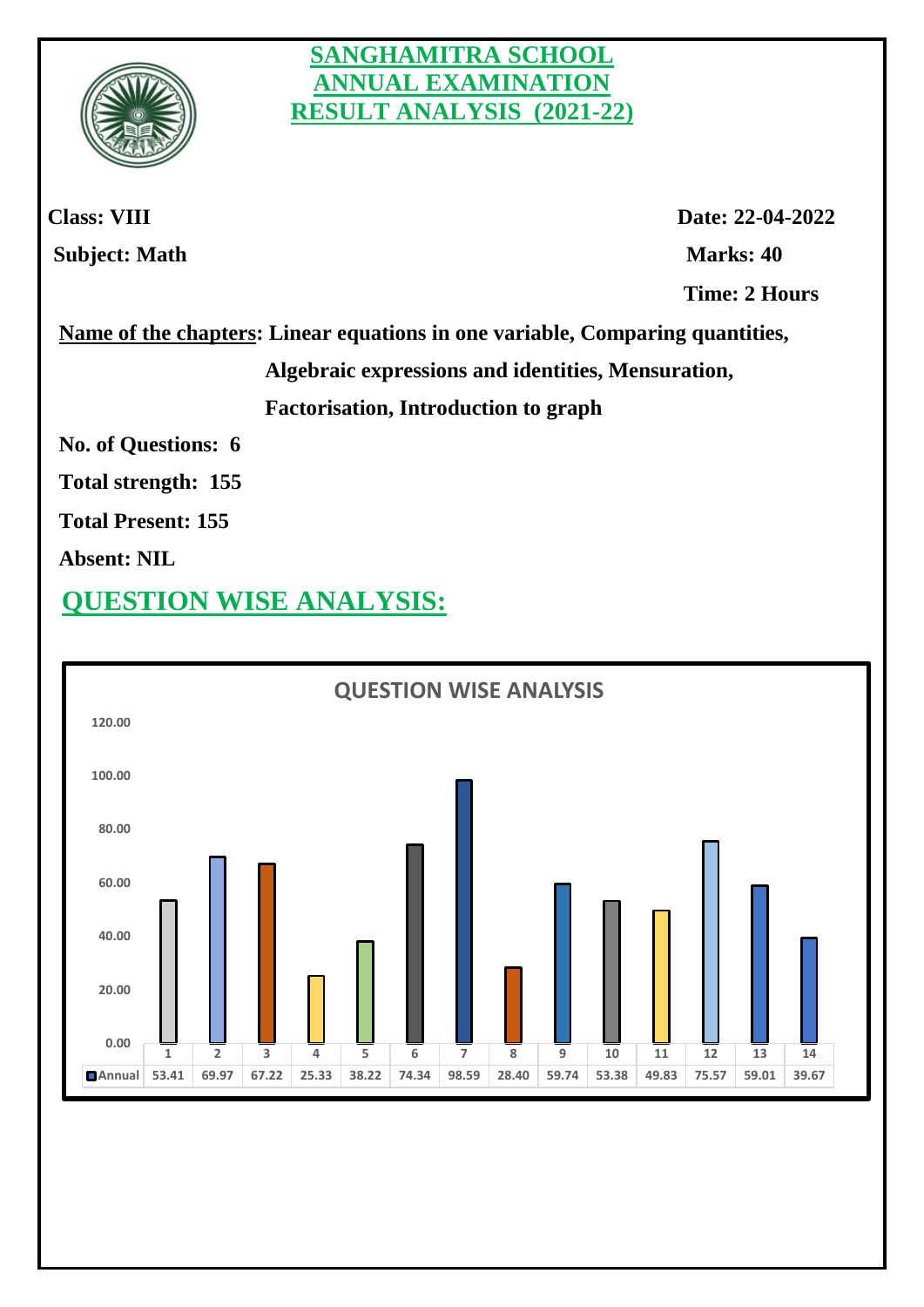

#### **SANGHAMITRA SCHOOL ANNUAL EXAMINATION RESULT ANALYSIS (2021-22)**

**Class: VIII Date: 22-04-2022 Subject: Math Marks: 40 Time: 2 Hours** 

 **Name of the chapters: Linear equations in one variable, Comparing quantities,** 

 **Algebraic expressions and identities, Mensuration,** 

 **Factorisation, Introduction to graph**

 **No. of Questions: 6** 

 **Total strength: 155** 

 **Total Present: 155** 

 **Absent: NIL**

## **QUESTION WISE ANALYSIS:**

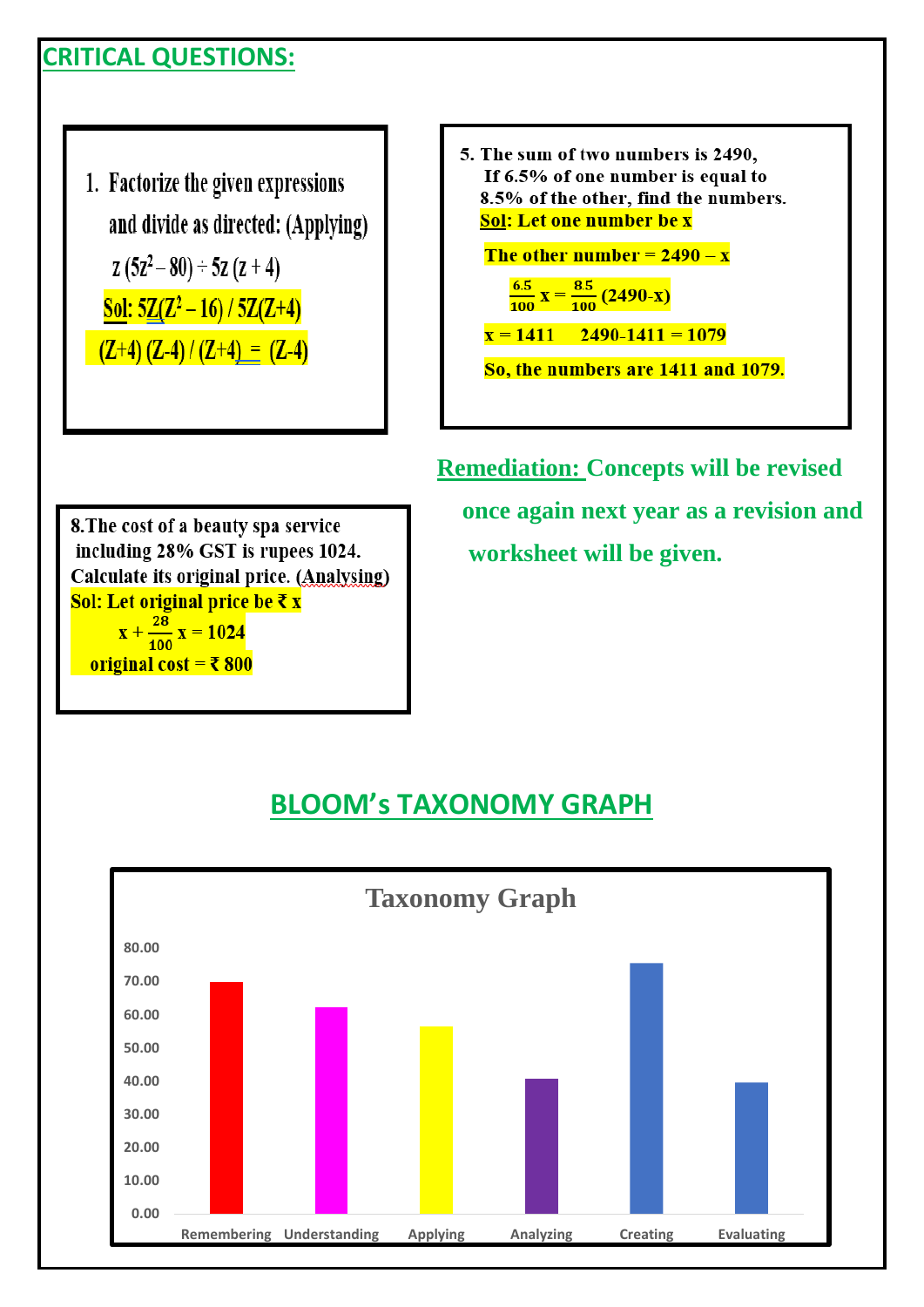#### **CRITICAL QUESTIONS:**

1. Factorize the given expressions and divide as directed: (Applying)  $z(5z^2-80) \div 5z(z+4)$ Sol:  $5Z(Z^2-16)/5Z(Z+4)$  $(Z+4)(Z-4)/(Z+4) = (Z-4)$ 

5. The sum of two numbers is 2490, If 6.5% of one number is equal to 8.5% of the other, find the numbers. Sol: Let one number be x

The other number =  $2490 - x$ 

$$
\frac{6.5}{100} \,\mathrm{X} = \frac{8.5}{100} \, (2490\,\mathrm{-X})
$$

 $x = 1411$  2490-1411 = 1079

So, the numbers are 1411 and 1079.

 **Remediation: Concepts will be revised once again next year as a revision and worksheet will be given.**

8. The cost of a beauty spa service including 28% GST is rupees 1024. Calculate its original price. (Analysing) Sol: Let original price be ₹ x  $x + \frac{28}{100}x = 1024$ original cost =  $\bar{x}$  800

#### **BLOOM's TAXONOMY GRAPH**

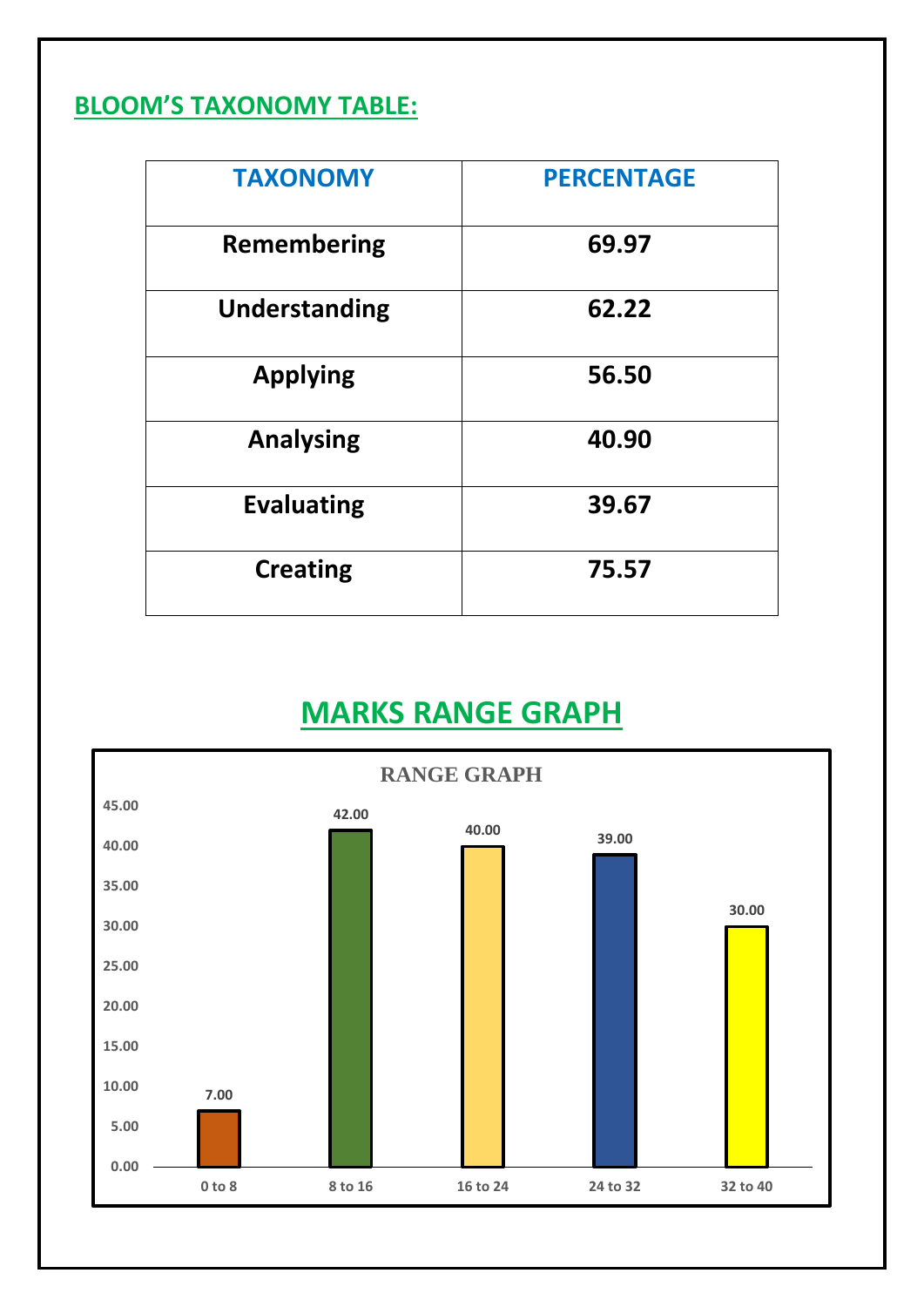#### **BLOOM'S TAXONOMY TABLE:**

| <b>TAXONOMY</b>    | <b>PERCENTAGE</b> |
|--------------------|-------------------|
| <b>Remembering</b> | 69.97             |
| Understanding      | 62.22             |
| <b>Applying</b>    | 56.50             |
| <b>Analysing</b>   | 40.90             |
| <b>Evaluating</b>  | 39.67             |
| <b>Creating</b>    | 75.57             |

# **MARKS RANGE GRAPH**